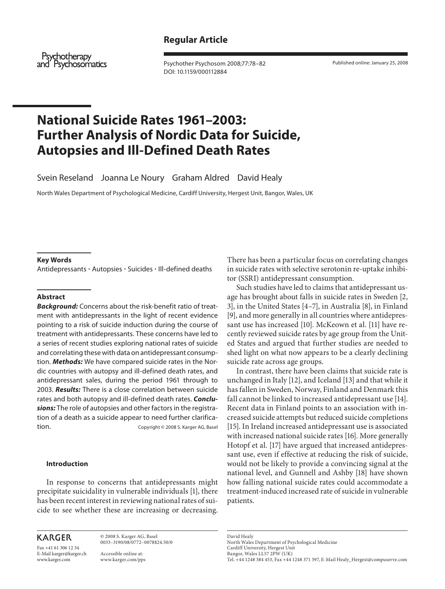# **Regular Article**

Psychotherapy and Psychosomatics

 Psychother Psychosom 2008;77:78–82 DOI: 10.1159/000112884

Published online: January 25, 2008

# **National Suicide Rates 1961–2003: Further Analysis of Nordic Data for Suicide, Autopsies and Ill-Defined Death Rates**

Svein Reseland Joanna Le Noury Graham Aldred David Healy

North Wales Department of Psychological Medicine, Cardiff University, Hergest Unit, Bangor, Wales, UK

# **Key Words**

Antidepressants · Autopsies · Suicides · Ill-defined deaths

# **Abstract**

 *Background:* Concerns about the risk-benefit ratio of treatment with antidepressants in the light of recent evidence pointing to a risk of suicide induction during the course of treatment with antidepressants. These concerns have led to a series of recent studies exploring national rates of suicide and correlating these with data on antidepressant consumption. *Methods:* We have compared suicide rates in the Nordic countries with autopsy and ill-defined death rates, and antidepressant sales, during the period 1961 through to 2003. *Results:* There is a close correlation between suicide rates and both autopsy and ill-defined death rates. *Conclusions:* The role of autopsies and other factors in the registration of a death as a suicide appear to need further clarification. Copyright © 2008 S. Karger AG, Basel

#### **Introduction**

 In response to concerns that antidepressants might precipitate suicidality in vulnerable individuals [1], there has been recent interest in reviewing national rates of suicide to see whether these are increasing or decreasing.

**KARGER** 

Fax +41 61 306 12 34 E-Mail karger@karger.ch www.karger.com

 © 2008 S. Karger AG, Basel 0033–3190/08/0772–0078\$24.50/0

 Accessible online at: www.karger.com/pps There has been a particular focus on correlating changes in suicide rates with selective serotonin re-uptake inhibitor (SSRI) antidepressant consumption.

 Such studies have led to claims that antidepressant usage has brought about falls in suicide rates in Sweden [2, 3], in the United States [4-7], in Australia [8], in Finland [9], and more generally in all countries where antidepressant use has increased [10]. McKeown et al. [11] have recently reviewed suicide rates by age group from the United States and argued that further studies are needed to shed light on what now appears to be a clearly declining suicide rate across age groups.

 In contrast, there have been claims that suicide rate is unchanged in Italy [12], and Iceland [13] and that while it has fallen in Sweden, Norway, Finland and Denmark this fall cannot be linked to increased antidepressant use [14] . Recent data in Finland points to an association with increased suicide attempts but reduced suicide completions [15]. In Ireland increased antidepressant use is associated with increased national suicide rates [16]. More generally Hotopf et al. [17] have argued that increased antidepressant use, even if effective at reducing the risk of suicide, would not be likely to provide a convincing signal at the national level, and Gunnell and Ashby [18] have shown how falling national suicide rates could accommodate a treatment-induced increased rate of suicide in vulnerable patients.

David Healy

North Wales Department of Psychological Medicine

 Cardiff University, Hergest Unit Bangor, Wales LL57 2PW (UK)

Tel. +44 1248 384 453, Fax +44 1248 371 397, E-Mail Healy\_Hergest@compuserve.com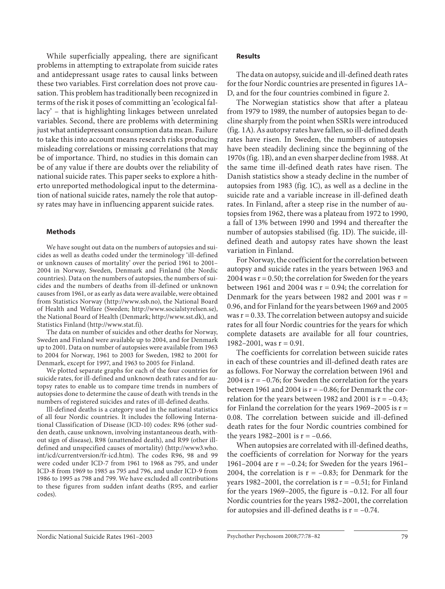While superficially appealing, there are significant problems in attempting to extrapolate from suicide rates and antidepressant usage rates to causal links between these two variables. First correlation does not prove causation. This problem has traditionally been recognized in terms of the risk it poses of committing an 'ecological fallacy' – that is highlighting linkages between unrelated variables. Second, there are problems with determining just what antidepressant consumption data mean. Failure to take this into account means research risks producing misleading correlations or missing correlations that may be of importance. Third, no studies in this domain can be of any value if there are doubts over the reliability of national suicide rates. This paper seeks to explore a hitherto unreported methodological input to the determination of national suicide rates, namely the role that autopsy rates may have in influencing apparent suicide rates.

## **Methods**

 We have sought out data on the numbers of autopsies and suicides as well as deaths coded under the terminology 'ill-defined or unknown causes of mortality' over the period 1961 to 2001– 2004 in Norway, Sweden, Denmark and Finland (the Nordic countries). Data on the numbers of autopsies, the numbers of suicides and the numbers of deaths from ill-defined or unknown causes from 1961, or as early as data were available, were obtained from Statistics Norway (http://www.ssb.no), the National Board of Health and Welfare (Sweden; http://www.socialstyrelsen.se), the National Board of Health (Denmark; http://www.sst.dk), and Statistics Finland (http://www.stat.fi).

 The data on number of suicides and other deaths for Norway, Sweden and Finland were available up to 2004, and for Denmark up to 2001. Data on number of autopsies were available from 1963 to 2004 for Norway, 1961 to 2003 for Sweden, 1982 to 2001 for Denmark, except for 1997, and 1963 to 2005 for Finland.

 We plotted separate graphs for each of the four countries for suicide rates, for ill-defined and unknown death rates and for autopsy rates to enable us to compare time trends in numbers of autopsies done to determine the cause of death with trends in the numbers of registered suicides and rates of ill-defined deaths.

 Ill-defined deaths is a category used in the national statistics of all four Nordic countries. It includes the following International Classification of Disease (ICD-10) codes: R96 (other sudden death, cause unknown, involving instantaneous death, without sign of disease), R98 (unattended death), and R99 (other illdefined and unspecified causes of mortality) (http://www3.who. int/icd/currentversion/fr-icd.htm). The codes R96, 98 and 99 were coded under ICD-7 from 1961 to 1968 as 795, and under ICD-8 from 1969 to 1985 as 795 and 796, and under ICD-9 from 1986 to 1995 as 798 and 799. We have excluded all contributions to these figures from sudden infant deaths (R95, and earlier codes).

# **Results**

 The data on autopsy, suicide and ill-defined death rates for the four Nordic countries are presented in figures 1 A– D, and for the four countries combined in figure 2.

 The Norwegian statistics show that after a plateau from 1979 to 1989, the number of autopsies began to decline sharply from the point when SSRIs were introduced (fig. 1A). As autopsy rates have fallen, so ill-defined death rates have risen. In Sweden, the numbers of autopsies have been steadily declining since the beginning of the 1970s (fig. 1B), and an even sharper decline from 1988. At the same time ill-defined death rates have risen. The Danish statistics show a steady decline in the number of autopsies from 1983 (fig. 1C), as well as a decline in the suicide rate and a variable increase in ill-defined death rates. In Finland, after a steep rise in the number of autopsies from 1962, there was a plateau from 1972 to 1990, a fall of 13% between 1990 and 1994 and thereafter the number of autopsies stabilised (fig. 1D). The suicide, illdefined death and autopsy rates have shown the least variation in Finland.

 For Norway, the coefficient for the correlation between autopsy and suicide rates in the years between 1963 and  $2004$  was  $r = 0.50$ ; the correlation for Sweden for the years between 1961 and 2004 was  $r = 0.94$ ; the correlation for Denmark for the years between 1982 and 2001 was r = 0.96, and for Finland for the years between 1969 and 2005 was  $r = 0.33$ . The correlation between autopsy and suicide rates for all four Nordic countries for the years for which complete datasets are available for all four countries, 1982–2001, was  $r = 0.91$ .

 The coefficients for correlation between suicide rates in each of these countries and ill-defined death rates are as follows. For Norway the correlation between 1961 and 2004 is  $r = -0.76$ ; for Sweden the correlation for the years between 1961 and 2004 is  $r = -0.86$ ; for Denmark the correlation for the years between 1982 and 2001 is  $r = -0.43$ ; for Finland the correlation for the years 1969–2005 is  $r =$ 0.08. The correlation between suicide and ill-defined death rates for the four Nordic countries combined for the years 1982–2001 is  $r = -0.66$ .

 When autopsies are correlated with ill-defined deaths, the coefficients of correlation for Norway for the years 1961–2004 are  $r = -0.24$ ; for Sweden for the years 1961– 2004, the correlation is  $r = -0.83$ ; for Denmark for the years 1982–2001, the correlation is  $r = -0.51$ ; for Finland for the years 1969–2005, the figure is –0.12. For all four Nordic countries for the years 1982–2001, the correlation for autopsies and ill-defined deaths is  $r = -0.74$ .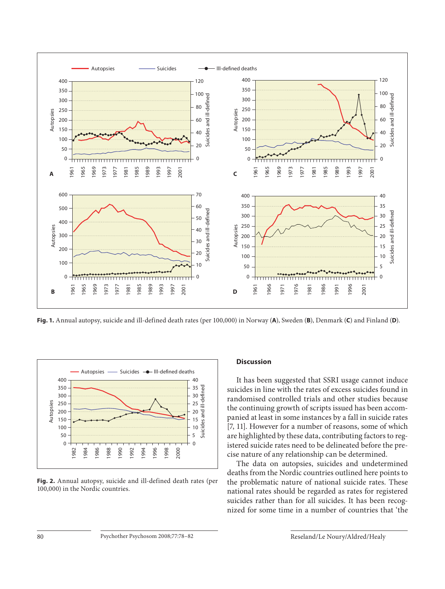

Fig. 1. Annual autopsy, suicide and ill-defined death rates (per 100,000) in Norway (A), Sweden (B), Denmark (C) and Finland (D).



 **Fig. 2.** Annual autopsy, suicide and ill-defined death rates (per 100,000) in the Nordic countries.

#### **Discussion**

 It has been suggested that SSRI usage cannot induce suicides in line with the rates of excess suicides found in randomised controlled trials and other studies because the continuing growth of scripts issued has been accompanied at least in some instances by a fall in suicide rates [7, 11]. However for a number of reasons, some of which are highlighted by these data, contributing factors to registered suicide rates need to be delineated before the precise nature of any relationship can be determined.

 The data on autopsies, suicides and undetermined deaths from the Nordic countries outlined here points to the problematic nature of national suicide rates. These national rates should be regarded as rates for registered suicides rather than for all suicides. It has been recognized for some time in a number of countries that 'the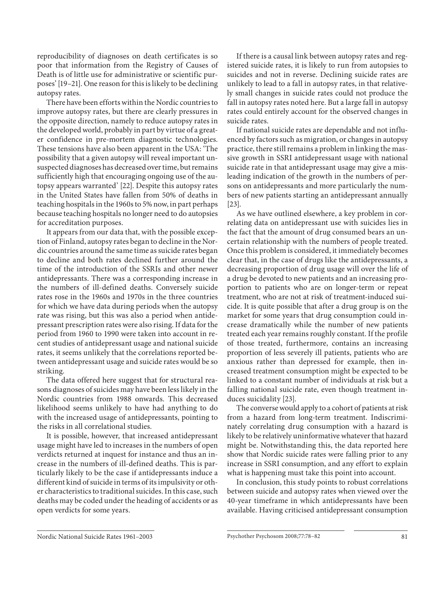reproducibility of diagnoses on death certificates is so poor that information from the Registry of Causes of Death is of little use for administrative or scientific purposes' [19–21] . One reason for this is likely to be declining autopsy rates.

 There have been efforts within the Nordic countries to improve autopsy rates, but there are clearly pressures in the opposite direction, namely to reduce autopsy rates in the developed world, probably in part by virtue of a greater confidence in pre-mortem diagnostic technologies. These tensions have also been apparent in the USA: 'The possibility that a given autopsy will reveal important unsuspected diagnoses has decreased over time, but remains sufficiently high that encouraging ongoing use of the autopsy appears warranted' [22] . Despite this autopsy rates in the United States have fallen from 50% of deaths in teaching hospitals in the 1960s to 5% now, in part perhaps because teaching hospitals no longer need to do autopsies for accreditation purposes.

 It appears from our data that, with the possible exception of Finland, autopsy rates began to decline in the Nordic countries around the same time as suicide rates began to decline and both rates declined further around the time of the introduction of the SSRIs and other newer antidepressants. There was a corresponding increase in the numbers of ill-defined deaths. Conversely suicide rates rose in the 1960s and 1970s in the three countries for which we have data during periods when the autopsy rate was rising, but this was also a period when antidepressant prescription rates were also rising. If data for the period from 1960 to 1990 were taken into account in recent studies of antidepressant usage and national suicide rates, it seems unlikely that the correlations reported between antidepressant usage and suicide rates would be so striking.

 The data offered here suggest that for structural reasons diagnoses of suicides may have been less likely in the Nordic countries from 1988 onwards. This decreased likelihood seems unlikely to have had anything to do with the increased usage of antidepressants, pointing to the risks in all correlational studies.

 It is possible, however, that increased antidepressant usage might have led to increases in the numbers of open verdicts returned at inquest for instance and thus an increase in the numbers of ill-defined deaths. This is particularly likely to be the case if antidepressants induce a different kind of suicide in terms of its impulsivity or other characteristics to traditional suicides. In this case, such deaths may be coded under the heading of accidents or as open verdicts for some years.

 If there is a causal link between autopsy rates and registered suicide rates, it is likely to run from autopsies to suicides and not in reverse. Declining suicide rates are unlikely to lead to a fall in autopsy rates, in that relatively small changes in suicide rates could not produce the fall in autopsy rates noted here. But a large fall in autopsy rates could entirely account for the observed changes in suicide rates.

 If national suicide rates are dependable and not influenced by factors such as migration, or changes in autopsy practice, there still remains a problem in linking the massive growth in SSRI antidepressant usage with national suicide rate in that antidepressant usage may give a misleading indication of the growth in the numbers of persons on antidepressants and more particularly the numbers of new patients starting an antidepressant annually  $[23]$ .

 As we have outlined elsewhere, a key problem in correlating data on antidepressant use with suicides lies in the fact that the amount of drug consumed bears an uncertain relationship with the numbers of people treated. Once this problem is considered, it immediately becomes clear that, in the case of drugs like the antidepressants, a decreasing proportion of drug usage will over the life of a drug be devoted to new patients and an increasing proportion to patients who are on longer-term or repeat treatment, who are not at risk of treatment-induced suicide. It is quite possible that after a drug group is on the market for some years that drug consumption could increase dramatically while the number of new patients treated each year remains roughly constant. If the profile of those treated, furthermore, contains an increasing proportion of less severely ill patients, patients who are anxious rather than depressed for example, then increased treatment consumption might be expected to be linked to a constant number of individuals at risk but a falling national suicide rate, even though treatment induces suicidality [23].

 The converse would apply to a cohort of patients at risk from a hazard from long-term treatment. Indiscriminately correlating drug consumption with a hazard is likely to be relatively uninformative whatever that hazard might be. Notwithstanding this, the data reported here show that Nordic suicide rates were falling prior to any increase in SSRI consumption, and any effort to explain what is happening must take this point into account.

 In conclusion, this study points to robust correlations between suicide and autopsy rates when viewed over the 40-year timeframe in which antidepressants have been available. Having criticised antidepressant consumption

#### Nordic National Suicide Rates 1961–2003 Psychother Psychosom 2008;77:78–82 81